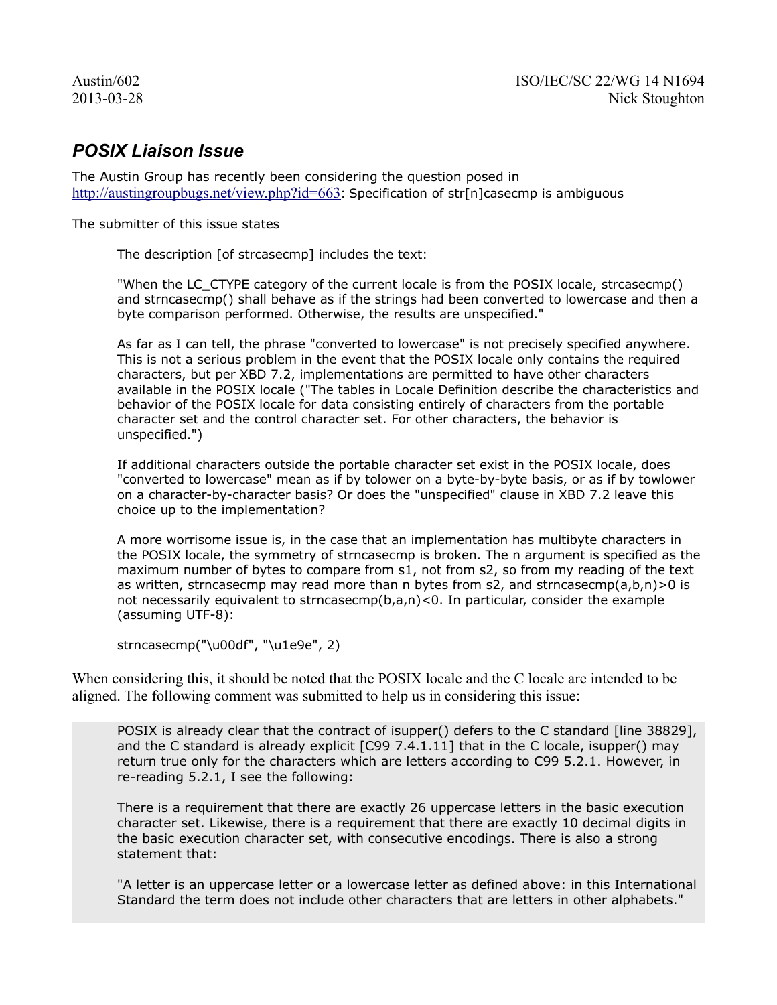## *POSIX Liaison Issue*

The Austin Group has recently been considering the question posed in [http://austingroupbugs.net/view.php?id=663:](http://austingroupbugs.net/view.php?id=663) Specification of str[n]casecmp is ambiguous

The submitter of this issue states

The description [of strcasecmp] includes the text:

"When the LC\_CTYPE category of the current locale is from the POSIX locale, strcasecmp() and strncasecmp() shall behave as if the strings had been converted to lowercase and then a byte comparison performed. Otherwise, the results are unspecified."

As far as I can tell, the phrase "converted to lowercase" is not precisely specified anywhere. This is not a serious problem in the event that the POSIX locale only contains the required characters, but per XBD 7.2, implementations are permitted to have other characters available in the POSIX locale ("The tables in Locale Definition describe the characteristics and behavior of the POSIX locale for data consisting entirely of characters from the portable character set and the control character set. For other characters, the behavior is unspecified.")

If additional characters outside the portable character set exist in the POSIX locale, does "converted to lowercase" mean as if by tolower on a byte-by-byte basis, or as if by towlower on a character-by-character basis? Or does the "unspecified" clause in XBD 7.2 leave this choice up to the implementation?

A more worrisome issue is, in the case that an implementation has multibyte characters in the POSIX locale, the symmetry of strncasecmp is broken. The n argument is specified as the maximum number of bytes to compare from s1, not from s2, so from my reading of the text as written, strncasecmp may read more than n bytes from s2, and strncasecmp $(a,b,n)$  > 0 is not necessarily equivalent to strncasecmp( $b$ , $a$ , $n$ )<0. In particular, consider the example (assuming UTF-8):

strncasecmp("\u00df", "\u1e9e", 2)

When considering this, it should be noted that the POSIX locale and the C locale are intended to be aligned. The following comment was submitted to help us in considering this issue:

POSIX is already clear that the contract of isupper() defers to the C standard [line 38829], and the C standard is already explicit [C99 7.4.1.11] that in the C locale, isupper() may return true only for the characters which are letters according to C99 5.2.1. However, in re-reading 5.2.1, I see the following:

There is a requirement that there are exactly 26 uppercase letters in the basic execution character set. Likewise, there is a requirement that there are exactly 10 decimal digits in the basic execution character set, with consecutive encodings. There is also a strong statement that:

"A letter is an uppercase letter or a lowercase letter as defined above: in this International Standard the term does not include other characters that are letters in other alphabets."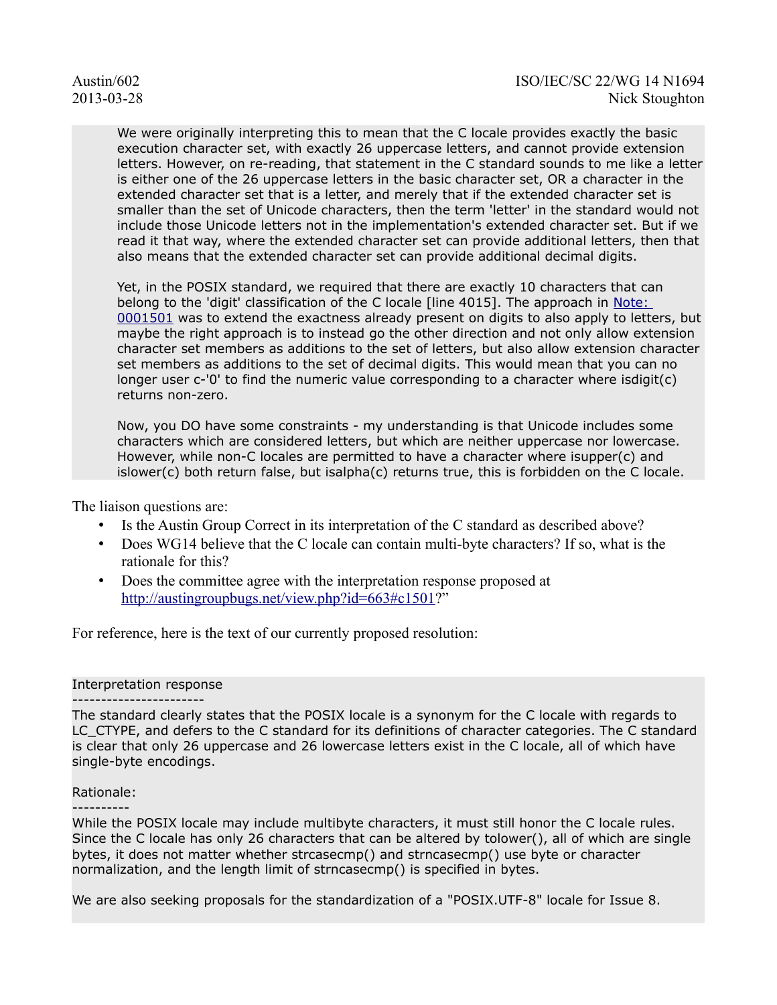We were originally interpreting this to mean that the C locale provides exactly the basic execution character set, with exactly 26 uppercase letters, and cannot provide extension letters. However, on re-reading, that statement in the C standard sounds to me like a letter is either one of the 26 uppercase letters in the basic character set, OR a character in the extended character set that is a letter, and merely that if the extended character set is smaller than the set of Unicode characters, then the term 'letter' in the standard would not include those Unicode letters not in the implementation's extended character set. But if we read it that way, where the extended character set can provide additional letters, then that also means that the extended character set can provide additional decimal digits.

Yet, in the POSIX standard, we required that there are exactly 10 characters that can belong to the 'digit' classification of the C locale [line 4015]. The approach in Note: [0001501](http://austingroupbugs.net/view.php?id=663#c1501) was to extend the exactness already present on digits to also apply to letters, but maybe the right approach is to instead go the other direction and not only allow extension character set members as additions to the set of letters, but also allow extension character set members as additions to the set of decimal digits. This would mean that you can no longer user c-'0' to find the numeric value corresponding to a character where isdigit(c) returns non-zero.

Now, you DO have some constraints - my understanding is that Unicode includes some characters which are considered letters, but which are neither uppercase nor lowercase. However, while non-C locales are permitted to have a character where isupper(c) and islower(c) both return false, but isalpha(c) returns true, this is forbidden on the C locale.

The liaison questions are:

- Is the Austin Group Correct in its interpretation of the C standard as described above?
- Does WG14 believe that the C locale can contain multi-byte characters? If so, what is the rationale for this?
- Does the committee agree with the interpretation response proposed at [http://austingroupbugs.net/view.php?id=663#c1501?](http://austingroupbugs.net/view.php?id=663#c1501)"

For reference, here is the text of our currently proposed resolution:

## Interpretation response

----------------------- The standard clearly states that the POSIX locale is a synonym for the C locale with regards to LC CTYPE, and defers to the C standard for its definitions of character categories. The C standard is clear that only 26 uppercase and 26 lowercase letters exist in the C locale, all of which have single-byte encodings.

## Rationale:

----------

While the POSIX locale may include multibyte characters, it must still honor the C locale rules. Since the C locale has only 26 characters that can be altered by tolower(), all of which are single bytes, it does not matter whether strcasecmp() and strncasecmp() use byte or character normalization, and the length limit of strncasecmp() is specified in bytes.

We are also seeking proposals for the standardization of a "POSIX.UTF-8" locale for Issue 8.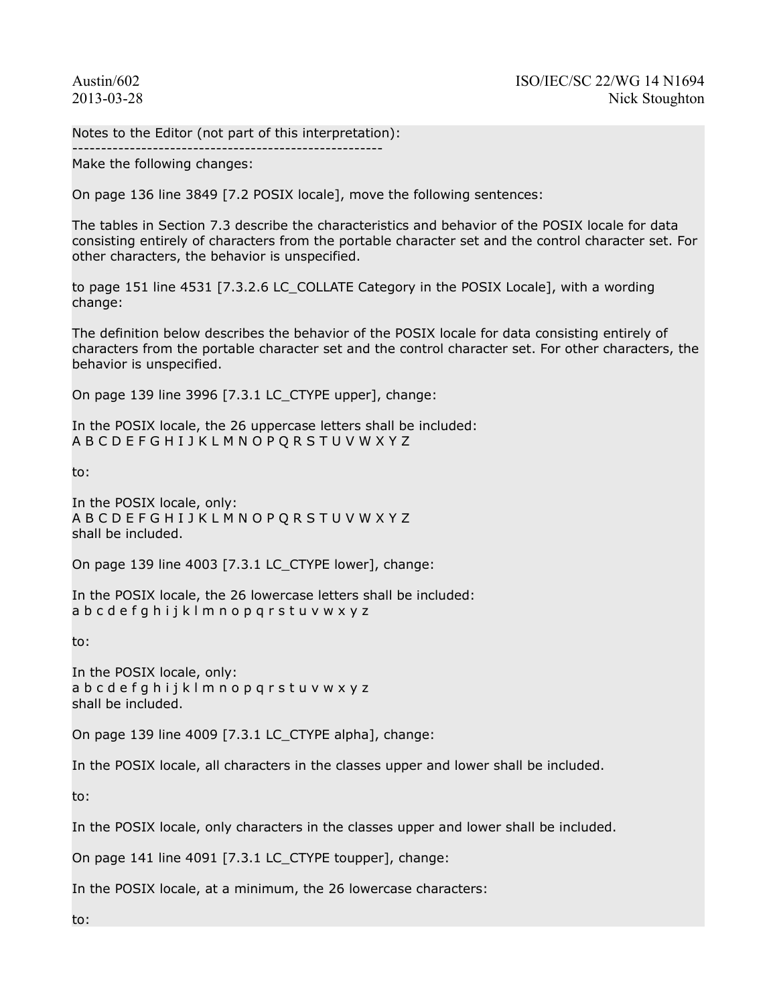Notes to the Editor (not part of this interpretation):

------------------------------------------------------ Make the following changes:

On page 136 line 3849 [7.2 POSIX locale], move the following sentences:

The tables in Section 7.3 describe the characteristics and behavior of the POSIX locale for data consisting entirely of characters from the portable character set and the control character set. For other characters, the behavior is unspecified.

to page 151 line 4531 [7.3.2.6 LC\_COLLATE Category in the POSIX Locale], with a wording change:

The definition below describes the behavior of the POSIX locale for data consisting entirely of characters from the portable character set and the control character set. For other characters, the behavior is unspecified.

On page 139 line 3996 [7.3.1 LC\_CTYPE upper], change:

In the POSIX locale, the 26 uppercase letters shall be included: A B C D E F G H I J K L M N O P Q R S T U V W X Y Z

to:

In the POSIX locale, only: A B C D E F G H I J K L M N O P Q R S T U V W X Y Z shall be included.

On page 139 line 4003 [7.3.1 LC\_CTYPE lower], change:

In the POSIX locale, the 26 lowercase letters shall be included: a b c d e f g h i j k l m n o p q r s t u v w x y z

to:

In the POSIX locale, only: a b c d e f g h i j k l m n o p q r s t u v w x y z shall be included.

On page 139 line 4009 [7.3.1 LC\_CTYPE alpha], change:

In the POSIX locale, all characters in the classes upper and lower shall be included.

to:

In the POSIX locale, only characters in the classes upper and lower shall be included.

On page 141 line 4091 [7.3.1 LC\_CTYPE toupper], change:

In the POSIX locale, at a minimum, the 26 lowercase characters:

to: